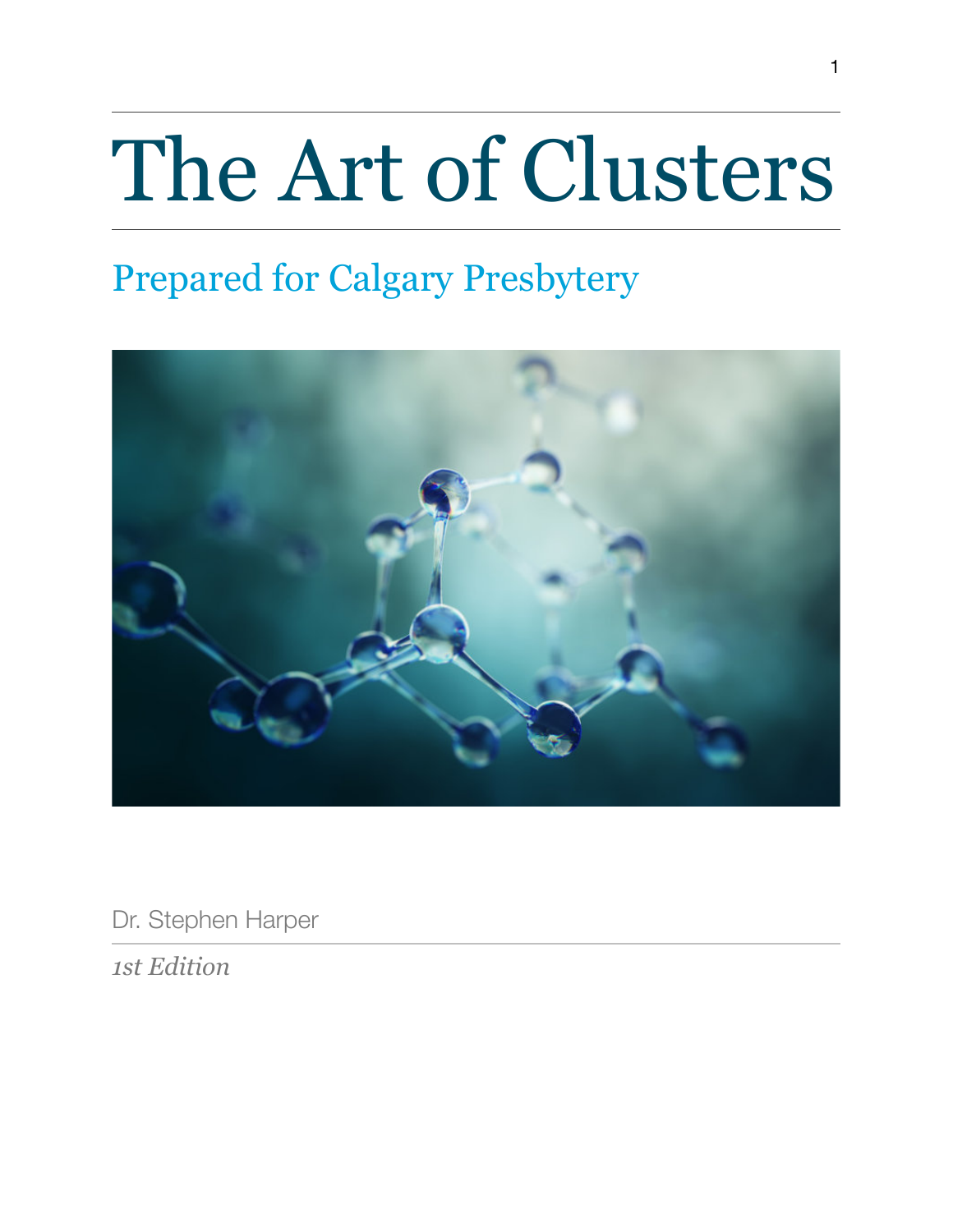# The Art of Clusters

# Prepared for Calgary Presbytery



Dr. Stephen Harper

*1st Edition*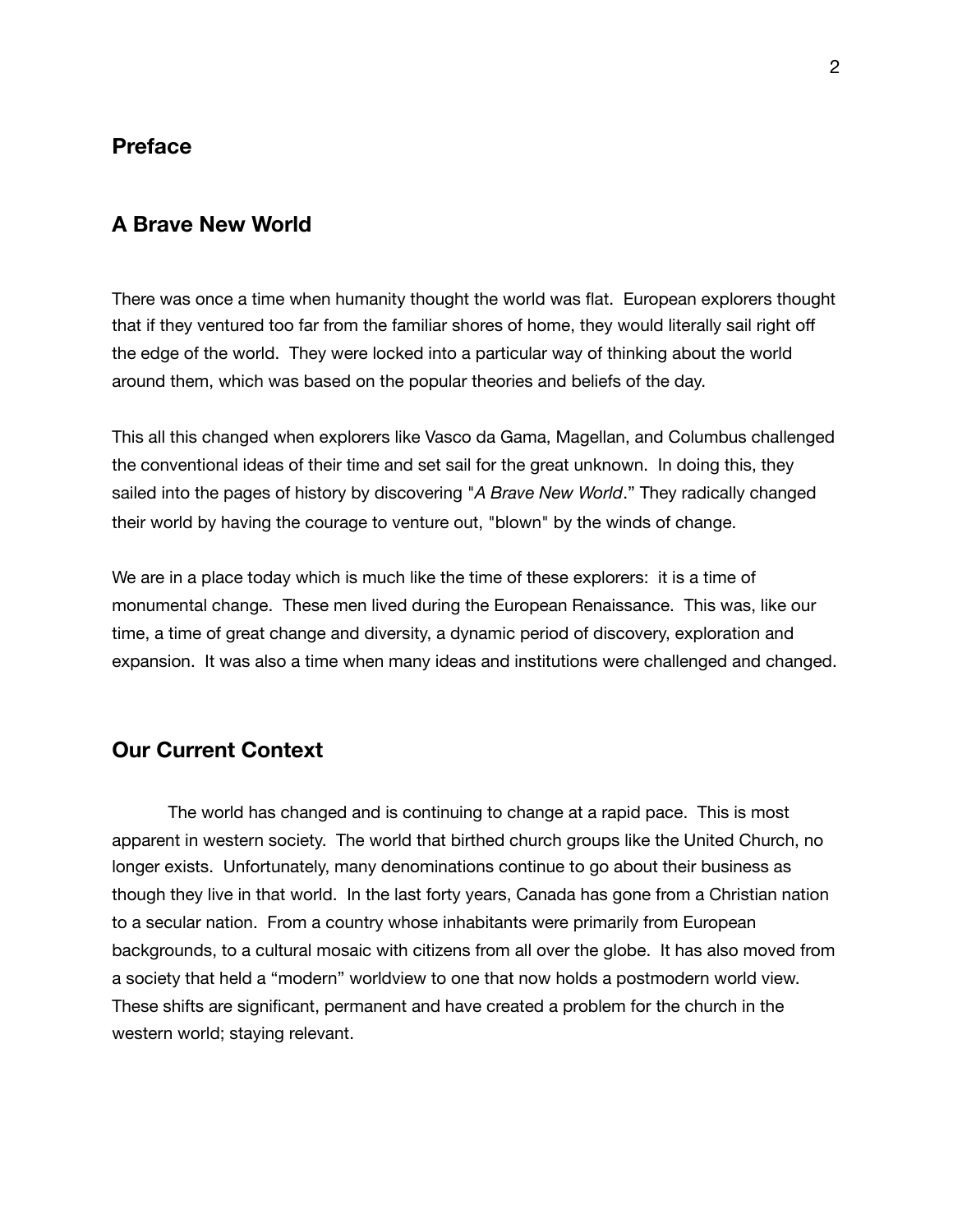#### **Preface**

#### **A Brave New World**

There was once a time when humanity thought the world was flat. European explorers thought that if they ventured too far from the familiar shores of home, they would literally sail right off the edge of the world. They were locked into a particular way of thinking about the world around them, which was based on the popular theories and beliefs of the day.

This all this changed when explorers like Vasco da Gama, Magellan, and Columbus challenged the conventional ideas of their time and set sail for the great unknown. In doing this, they sailed into the pages of history by discovering "*A Brave New World*." They radically changed their world by having the courage to venture out, "blown" by the winds of change.

We are in a place today which is much like the time of these explorers: it is a time of monumental change. These men lived during the European Renaissance. This was, like our time, a time of great change and diversity, a dynamic period of discovery, exploration and expansion. It was also a time when many ideas and institutions were challenged and changed.

#### **Our Current Context**

The world has changed and is continuing to change at a rapid pace. This is most apparent in western society. The world that birthed church groups like the United Church, no longer exists. Unfortunately, many denominations continue to go about their business as though they live in that world. In the last forty years, Canada has gone from a Christian nation to a secular nation. From a country whose inhabitants were primarily from European backgrounds, to a cultural mosaic with citizens from all over the globe. It has also moved from a society that held a "modern" worldview to one that now holds a postmodern world view. These shifts are significant, permanent and have created a problem for the church in the western world; staying relevant.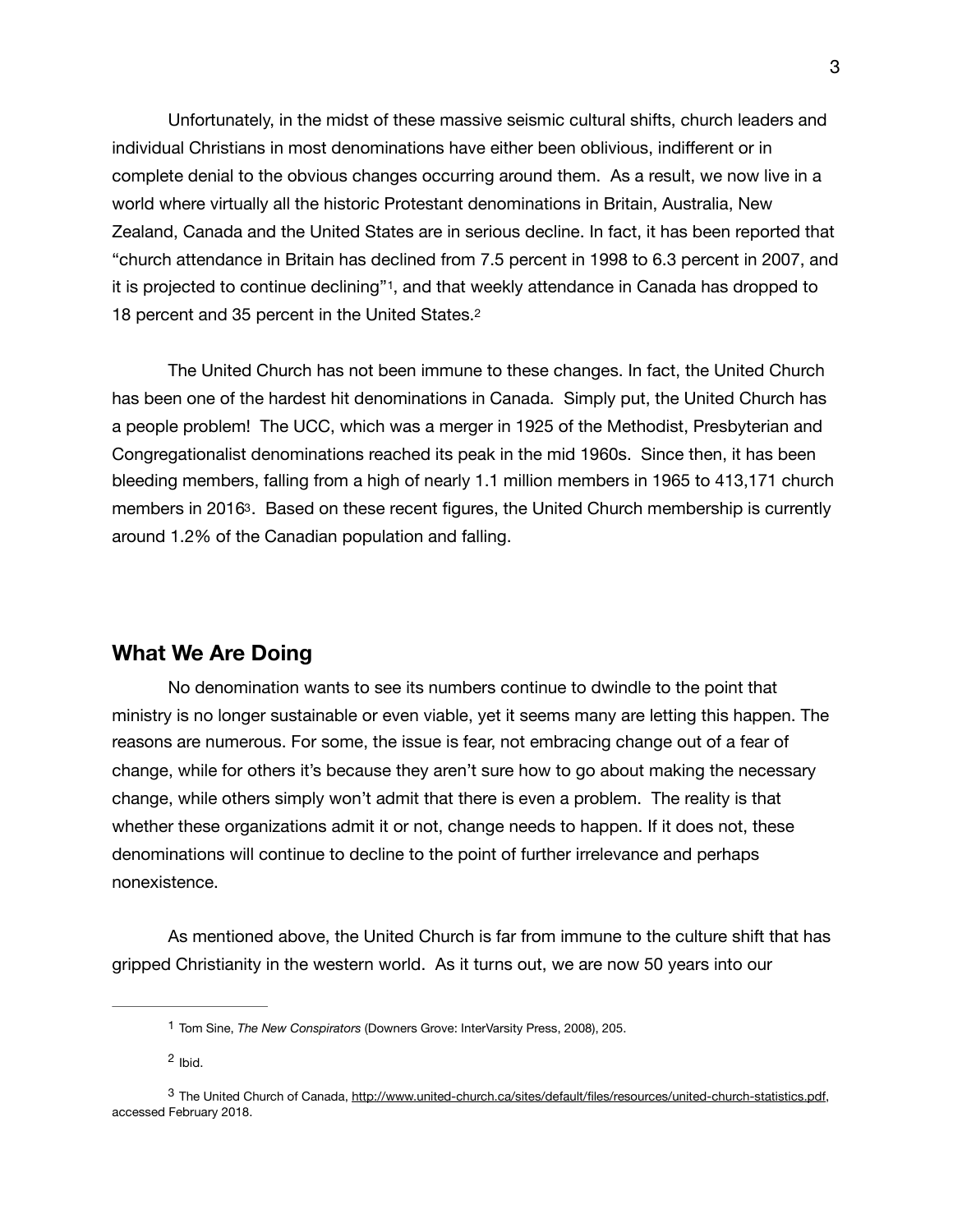Unfortunately, in the midst of these massive seismic cultural shifts, church leaders and individual Christians in most denominations have either been oblivious, indifferent or in complete denial to the obvious changes occurring around them. As a result, we now live in a world where virtually all the historic Protestant denominations in Britain, Australia, New Zealand, Canada and the United States are in serious decline. In fact, it has been reported that "church attendance in Britain has declined from 7.5 percent in 1998 to 6.3 percent in 2007, and it is projected to continue declining"[1,](#page-2-0) and that weekly attendance in Canada has dropped to 18 percent and 35 percent in the United States.[2](#page-2-1)

<span id="page-2-5"></span><span id="page-2-4"></span><span id="page-2-3"></span>The United Church has not been immune to these changes. In fact, the United Church has been one of the hardest hit denominations in Canada. Simply put, the United Church has a people problem! The UCC, which was a merger in 1925 of the Methodist, Presbyterian and Congregationalist denominations reached its peak in the mid 1960s. Since then, it has been bleeding members, falling from a high of nearly 1.1 million members in 1965 to 413,171 church members in 201[63](#page-2-2). Based on these recent figures, the United Church membership is currently around 1.2% of the Canadian population and falling.

#### **What We Are Doing**

No denomination wants to see its numbers continue to dwindle to the point that ministry is no longer sustainable or even viable, yet it seems many are letting this happen. The reasons are numerous. For some, the issue is fear, not embracing change out of a fear of change, while for others it's because they aren't sure how to go about making the necessary change, while others simply won't admit that there is even a problem. The reality is that whether these organizations admit it or not, change needs to happen. If it does not, these denominations will continue to decline to the point of further irrelevance and perhaps nonexistence.

As mentioned above, the United Church is far from immune to the culture shift that has gripped Christianity in the western world. As it turns out, we are now 50 years into our

<span id="page-2-0"></span>[<sup>1</sup>](#page-2-3) Tom Sine, *The New Conspirators* (Downers Grove: InterVarsity Press, 2008), 205.

<span id="page-2-2"></span><span id="page-2-1"></span> $2$  Ibid.

<sup>3</sup> The United Church of Canada, [http://www.united-church.ca/sites/default/files/resources/united-church-statistics.pdf,](http://www.united-church.ca/sites/default/files/resources/united-church-statistics.pdf) accessed February 2018.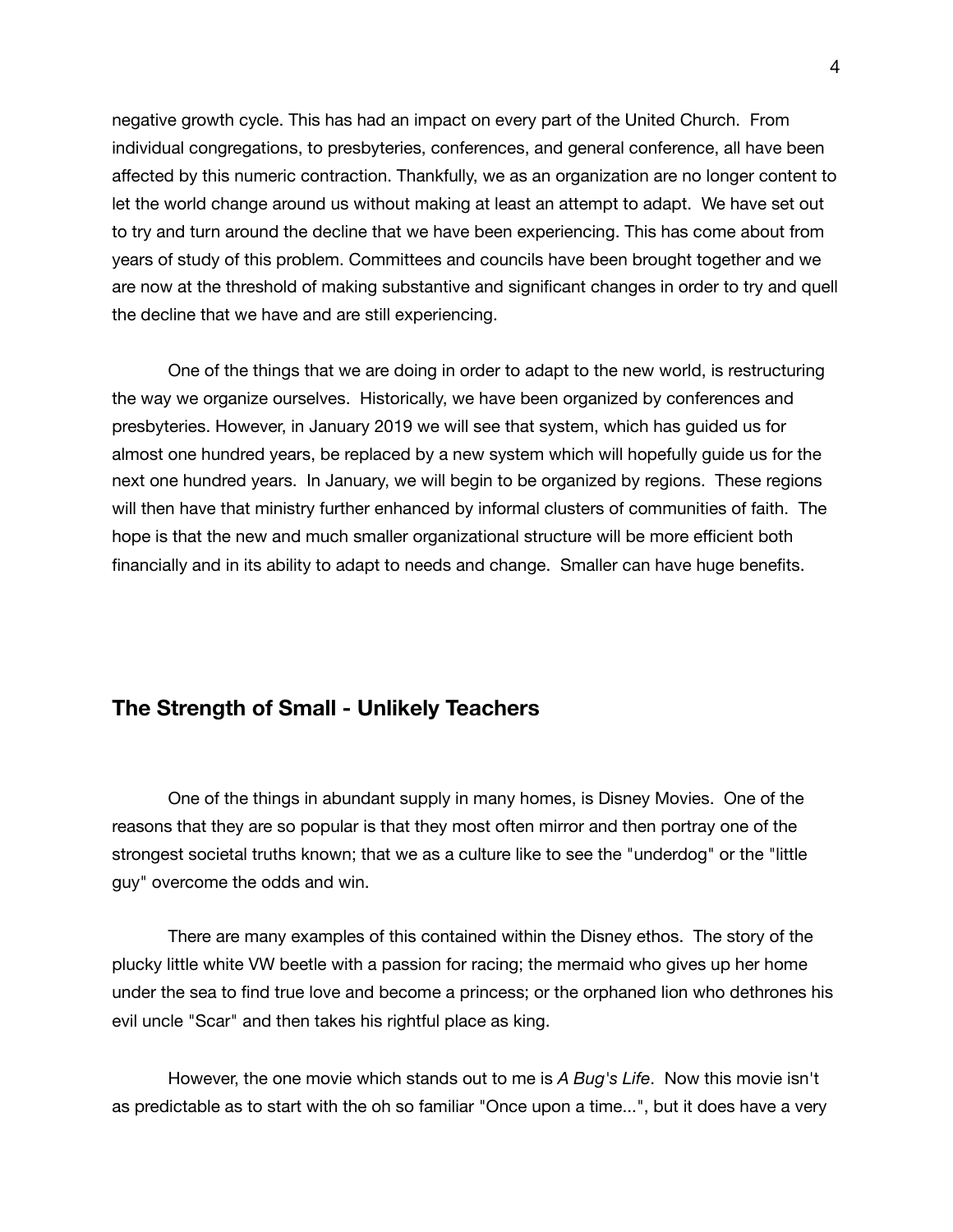negative growth cycle. This has had an impact on every part of the United Church. From individual congregations, to presbyteries, conferences, and general conference, all have been affected by this numeric contraction. Thankfully, we as an organization are no longer content to let the world change around us without making at least an attempt to adapt. We have set out to try and turn around the decline that we have been experiencing. This has come about from years of study of this problem. Committees and councils have been brought together and we are now at the threshold of making substantive and significant changes in order to try and quell the decline that we have and are still experiencing.

One of the things that we are doing in order to adapt to the new world, is restructuring the way we organize ourselves. Historically, we have been organized by conferences and presbyteries. However, in January 2019 we will see that system, which has guided us for almost one hundred years, be replaced by a new system which will hopefully guide us for the next one hundred years. In January, we will begin to be organized by regions. These regions will then have that ministry further enhanced by informal clusters of communities of faith. The hope is that the new and much smaller organizational structure will be more efficient both financially and in its ability to adapt to needs and change. Smaller can have huge benefits.

# **The Strength of Small - Unlikely Teachers**

One of the things in abundant supply in many homes, is Disney Movies. One of the reasons that they are so popular is that they most often mirror and then portray one of the strongest societal truths known; that we as a culture like to see the "underdog" or the "little guy" overcome the odds and win.

There are many examples of this contained within the Disney ethos. The story of the plucky little white VW beetle with a passion for racing; the mermaid who gives up her home under the sea to find true love and become a princess; or the orphaned lion who dethrones his evil uncle "Scar" and then takes his rightful place as king.

However, the one movie which stands out to me is *A Bug's Life*. Now this movie isn't as predictable as to start with the oh so familiar "Once upon a time...", but it does have a very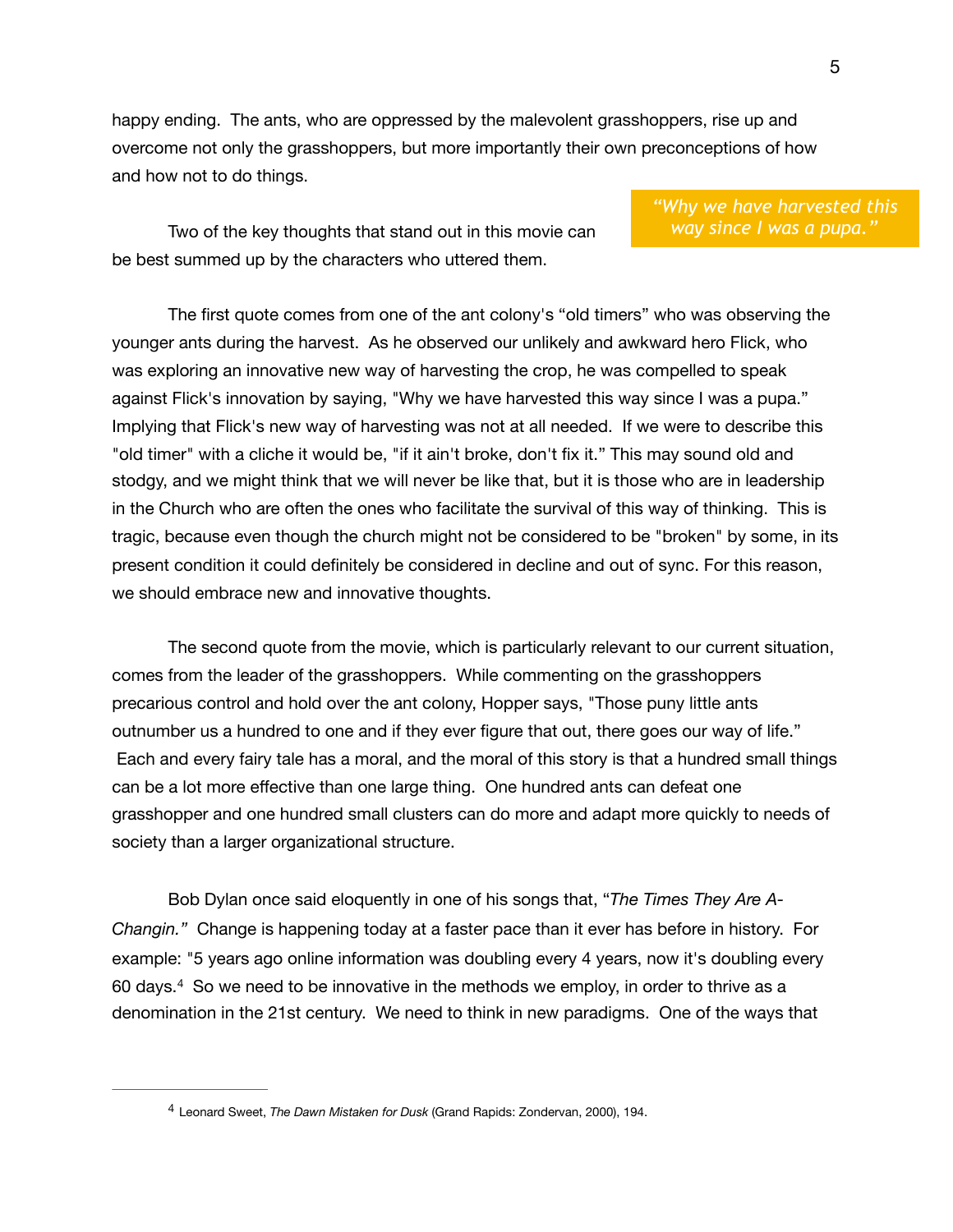happy ending. The ants, who are oppressed by the malevolent grasshoppers, rise up and overcome not only the grasshoppers, but more importantly their own preconceptions of how and how not to do things.

Two of the key thoughts that stand out in this movie can be best summed up by the characters who uttered them.

*"Why we have harvested this way since I was a pupa."*

The first quote comes from one of the ant colony's "old timers" who was observing the younger ants during the harvest. As he observed our unlikely and awkward hero Flick, who was exploring an innovative new way of harvesting the crop, he was compelled to speak against Flick's innovation by saying, "Why we have harvested this way since I was a pupa." Implying that Flick's new way of harvesting was not at all needed. If we were to describe this "old timer" with a cliche it would be, "if it ain't broke, don't fix it." This may sound old and stodgy, and we might think that we will never be like that, but it is those who are in leadership in the Church who are often the ones who facilitate the survival of this way of thinking. This is tragic, because even though the church might not be considered to be "broken" by some, in its present condition it could definitely be considered in decline and out of sync. For this reason, we should embrace new and innovative thoughts.

The second quote from the movie, which is particularly relevant to our current situation, comes from the leader of the grasshoppers. While commenting on the grasshoppers precarious control and hold over the ant colony, Hopper says, "Those puny little ants outnumber us a hundred to one and if they ever figure that out, there goes our way of life." Each and every fairy tale has a moral, and the moral of this story is that a hundred small things can be a lot more effective than one large thing. One hundred ants can defeat one grasshopper and one hundred small clusters can do more and adapt more quickly to needs of society than a larger organizational structure.

<span id="page-4-1"></span>Bob Dylan once said eloquently in one of his songs that, "*The Times They Are A-Changin."* Change is happening today at a faster pace than it ever has before in history. For example: "5 years ago online information was doubling every 4 years, now it's doubling every 60 days. $4$  So we need to be innovative in the methods we employ, in order to thrive as a denomination in the 21st century. We need to think in new paradigms. One of the ways that

<span id="page-4-0"></span>Leonard Sweet, *The Dawn Mistaken for Dusk* (Grand Rapids: Zondervan, 2000), 194. [4](#page-4-1)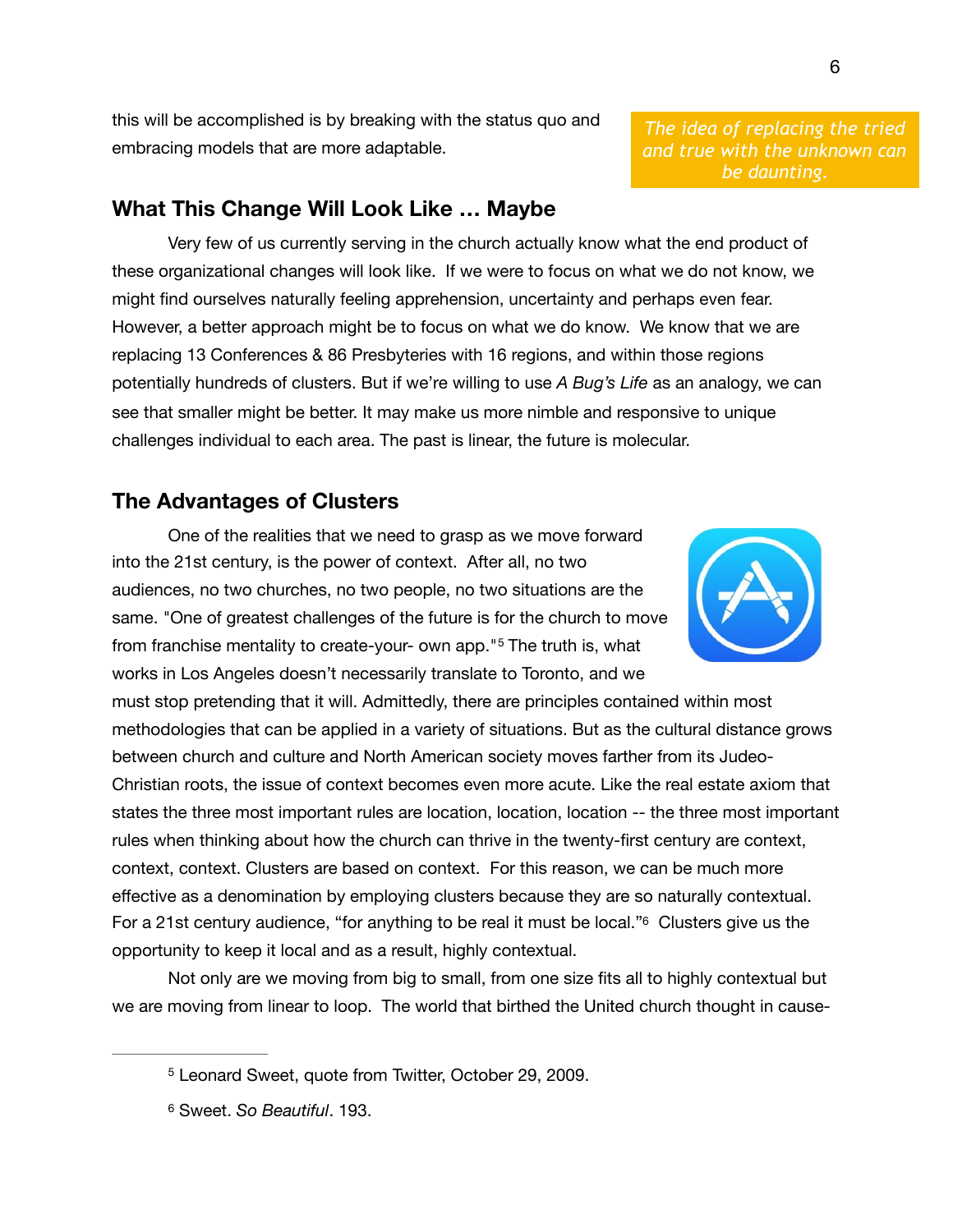this will be accomplished is by breaking with the status quo and embracing models that are more adaptable.

# **What This Change Will Look Like … Maybe**

Very few of us currently serving in the church actually know what the end product of these organizational changes will look like. If we were to focus on what we do not know, we might find ourselves naturally feeling apprehension, uncertainty and perhaps even fear. However, a better approach might be to focus on what we do know. We know that we are replacing 13 Conferences & 86 Presbyteries with 16 regions, and within those regions potentially hundreds of clusters. But if we're willing to use *A Bug's Life* as an analogy, we can see that smaller might be better. It may make us more nimble and responsive to unique challenges individual to each area. The past is linear, the future is molecular.

# **The Advantages of Clusters**

One of the realities that we need to grasp as we move forward into the 21st century, is the power of context. After all, no two audiences, no two churches, no two people, no two situations are the same. "One of greatest challenges of the future is for the church to move fromfranchise mentality to create-your- own app.<sup>"[5](#page-5-0)</sup> The truth is, what works in Los Angeles doesn't necessarily translate to Toronto, and we

must stop pretending that it will. Admittedly, there are principles contained within most methodologies that can be applied in a variety of situations. But as the cultural distance grows between church and culture and North American society moves farther from its Judeo-Christian roots, the issue of context becomes even more acute. Like the real estate axiom that states the three most important rules are location, location, location -- the three most important rules when thinking about how the church can thrive in the twenty-first century are context, context, context. Clusters are based on context. For this reason, we can be much more effective as a denomination by employing clusters because they are so naturally contextual. For a 21st century audience, "for anything to be real it must be local.["6](#page-5-1) Clusters give us the opportunity to keep it local and as a result, highly contextual.

Not only are we moving from big to small, from one size fits all to highly contextual but we are moving from linear to loop. The world that birthed the United church thought in cause-

*The idea of replacing the tried and true with the unknown can be daunting.* 

<span id="page-5-3"></span><span id="page-5-2"></span>

<span id="page-5-0"></span><sup>&</sup>lt;sup>[5](#page-5-2)</sup> Leonard Sweet, quote from Twitter, October 29, 2009.

<span id="page-5-1"></span>Sweet. *So Beautiful*. 193. [6](#page-5-3)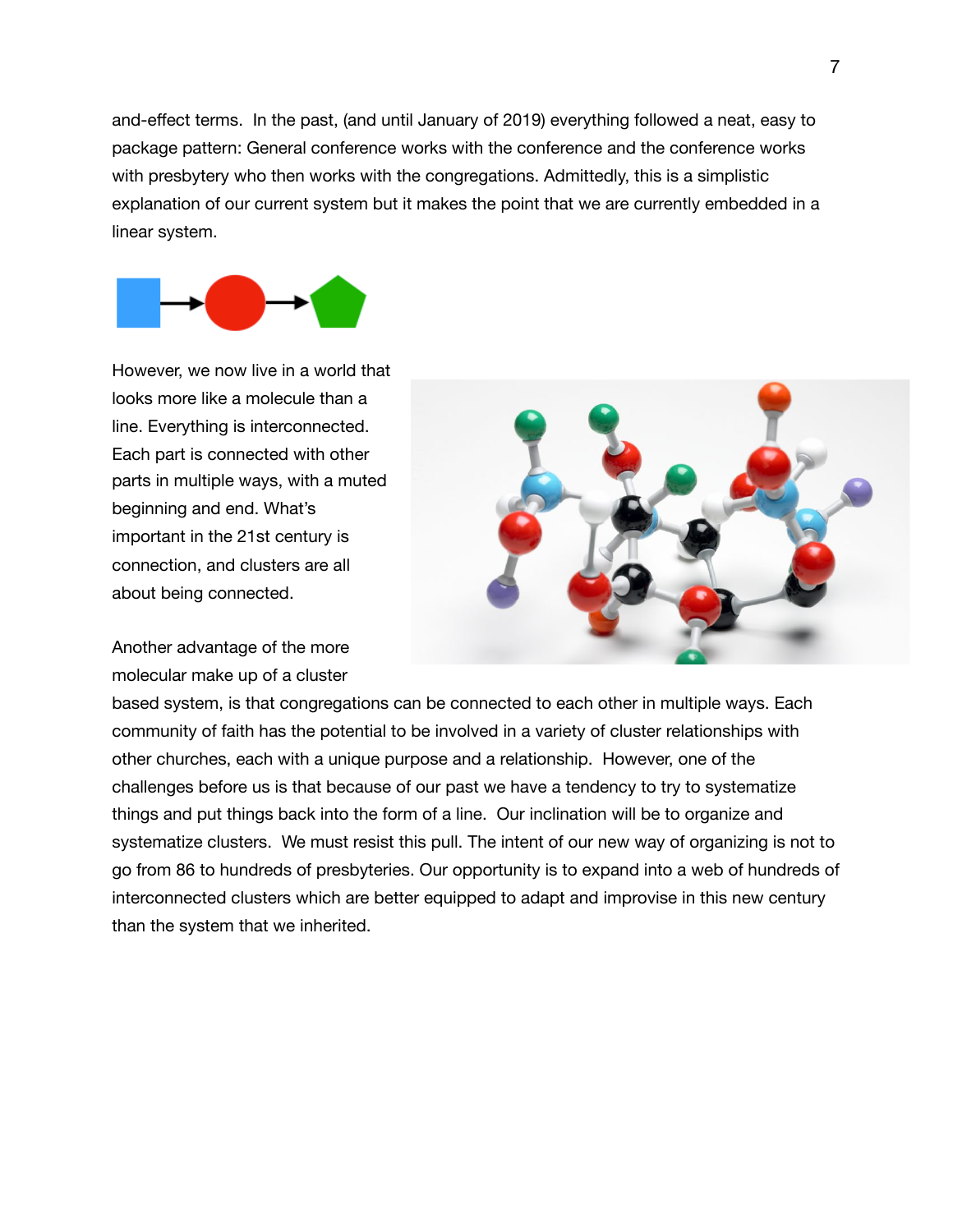and-effect terms. In the past, (and until January of 2019) everything followed a neat, easy to package pattern: General conference works with the conference and the conference works with presbytery who then works with the congregations. Admittedly, this is a simplistic explanation of our current system but it makes the point that we are currently embedded in a linear system.



However, we now live in a world that looks more like a molecule than a line. Everything is interconnected. Each part is connected with other parts in multiple ways, with a muted beginning and end. What's important in the 21st century is connection, and clusters are all about being connected.

Another advantage of the more molecular make up of a cluster

based system, is that congregations can be connected to each other in multiple ways. Each community of faith has the potential to be involved in a variety of cluster relationships with other churches, each with a unique purpose and a relationship. However, one of the challenges before us is that because of our past we have a tendency to try to systematize things and put things back into the form of a line. Our inclination will be to organize and systematize clusters. We must resist this pull. The intent of our new way of organizing is not to go from 86 to hundreds of presbyteries. Our opportunity is to expand into a web of hundreds of interconnected clusters which are better equipped to adapt and improvise in this new century than the system that we inherited.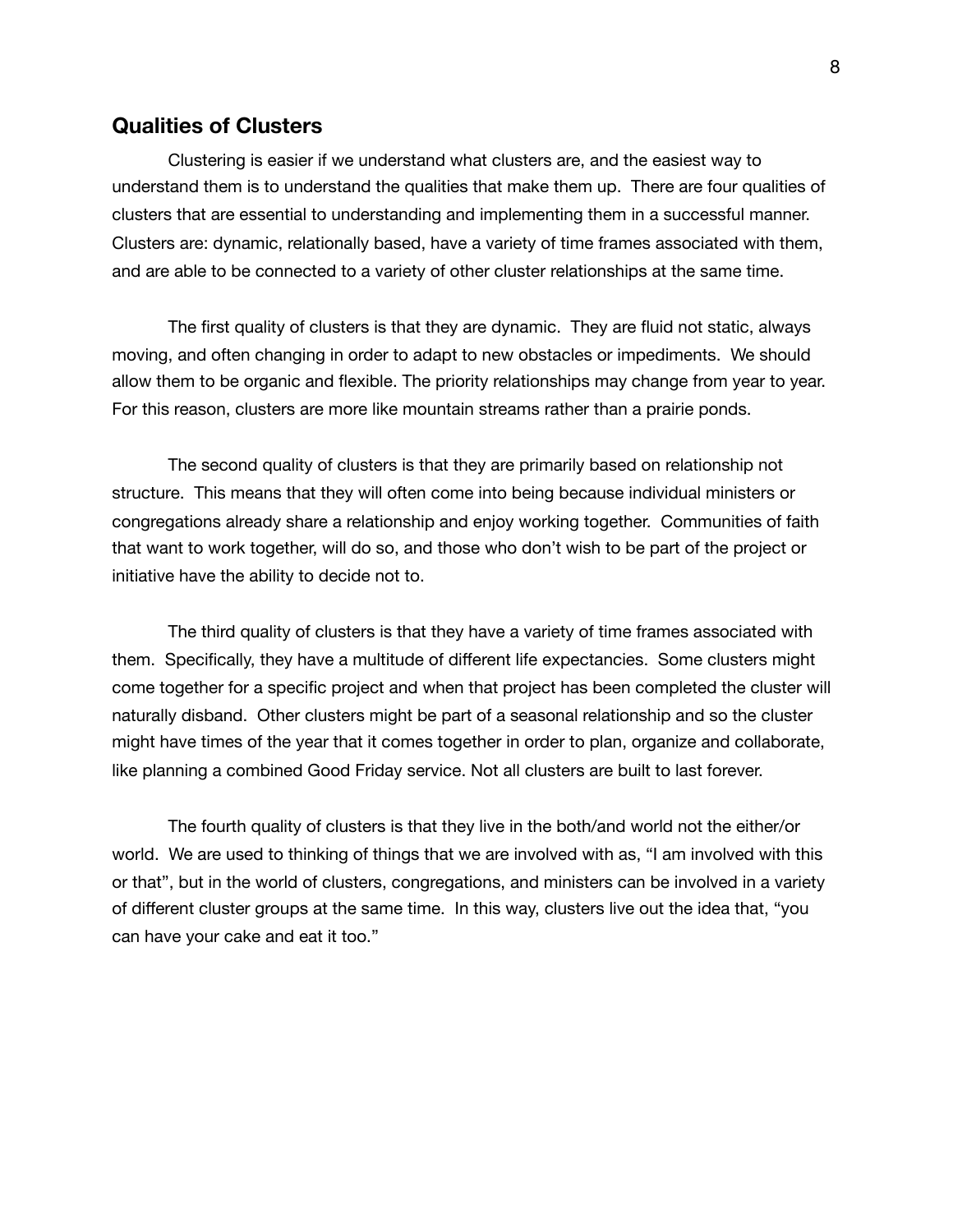#### **Qualities of Clusters**

Clustering is easier if we understand what clusters are, and the easiest way to understand them is to understand the qualities that make them up. There are four qualities of clusters that are essential to understanding and implementing them in a successful manner. Clusters are: dynamic, relationally based, have a variety of time frames associated with them, and are able to be connected to a variety of other cluster relationships at the same time.

The first quality of clusters is that they are dynamic. They are fluid not static, always moving, and often changing in order to adapt to new obstacles or impediments. We should allow them to be organic and flexible. The priority relationships may change from year to year. For this reason, clusters are more like mountain streams rather than a prairie ponds.

The second quality of clusters is that they are primarily based on relationship not structure. This means that they will often come into being because individual ministers or congregations already share a relationship and enjoy working together. Communities of faith that want to work together, will do so, and those who don't wish to be part of the project or initiative have the ability to decide not to.

The third quality of clusters is that they have a variety of time frames associated with them. Specifically, they have a multitude of different life expectancies. Some clusters might come together for a specific project and when that project has been completed the cluster will naturally disband. Other clusters might be part of a seasonal relationship and so the cluster might have times of the year that it comes together in order to plan, organize and collaborate, like planning a combined Good Friday service. Not all clusters are built to last forever.

The fourth quality of clusters is that they live in the both/and world not the either/or world. We are used to thinking of things that we are involved with as, "I am involved with this or that", but in the world of clusters, congregations, and ministers can be involved in a variety of different cluster groups at the same time. In this way, clusters live out the idea that, "you can have your cake and eat it too."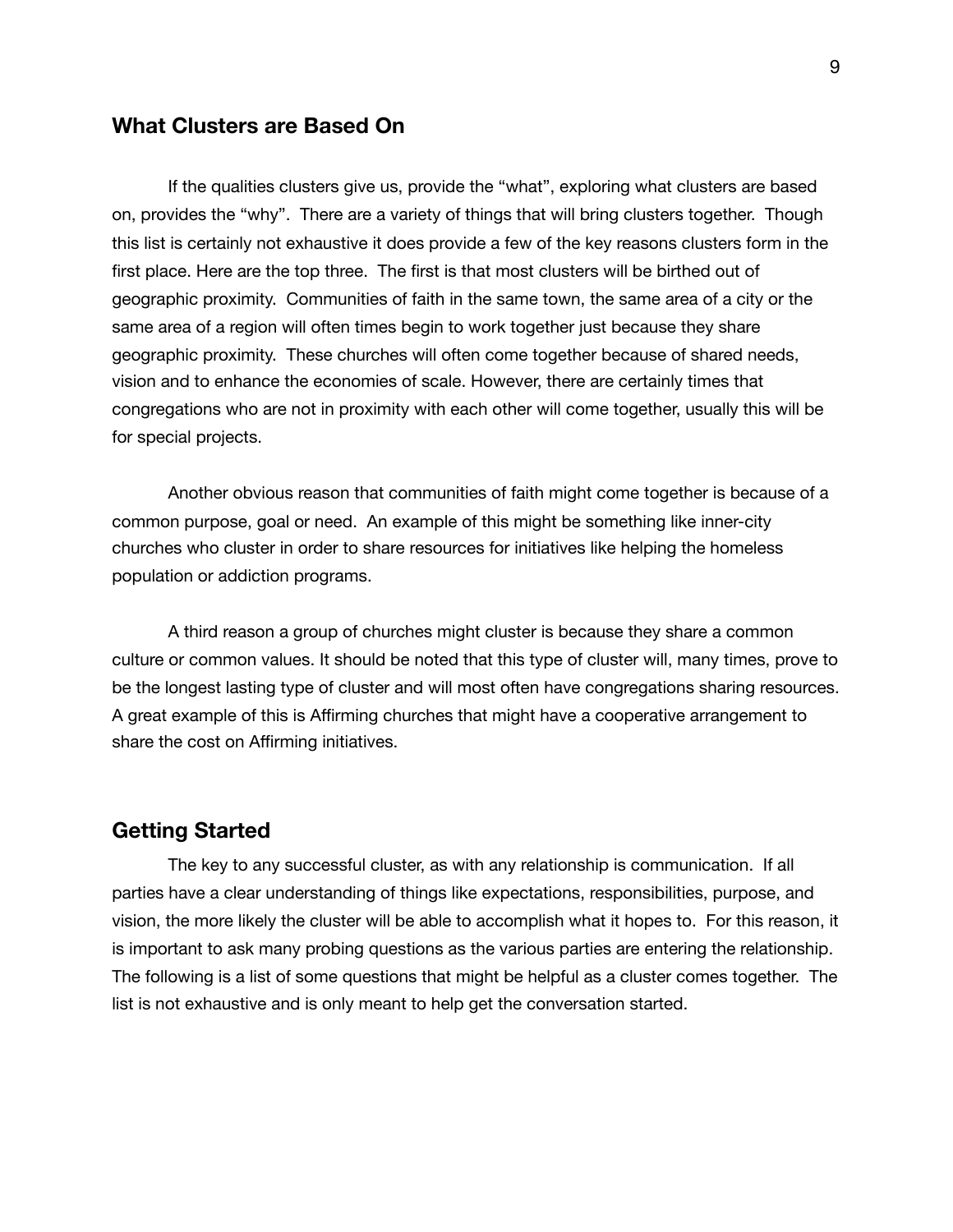#### **What Clusters are Based On**

If the qualities clusters give us, provide the "what", exploring what clusters are based on, provides the "why". There are a variety of things that will bring clusters together. Though this list is certainly not exhaustive it does provide a few of the key reasons clusters form in the first place. Here are the top three. The first is that most clusters will be birthed out of geographic proximity. Communities of faith in the same town, the same area of a city or the same area of a region will often times begin to work together just because they share geographic proximity. These churches will often come together because of shared needs, vision and to enhance the economies of scale. However, there are certainly times that congregations who are not in proximity with each other will come together, usually this will be for special projects.

Another obvious reason that communities of faith might come together is because of a common purpose, goal or need. An example of this might be something like inner-city churches who cluster in order to share resources for initiatives like helping the homeless population or addiction programs.

A third reason a group of churches might cluster is because they share a common culture or common values. It should be noted that this type of cluster will, many times, prove to be the longest lasting type of cluster and will most often have congregations sharing resources. A great example of this is Affirming churches that might have a cooperative arrangement to share the cost on Affirming initiatives.

#### **Getting Started**

The key to any successful cluster, as with any relationship is communication. If all parties have a clear understanding of things like expectations, responsibilities, purpose, and vision, the more likely the cluster will be able to accomplish what it hopes to. For this reason, it is important to ask many probing questions as the various parties are entering the relationship. The following is a list of some questions that might be helpful as a cluster comes together. The list is not exhaustive and is only meant to help get the conversation started.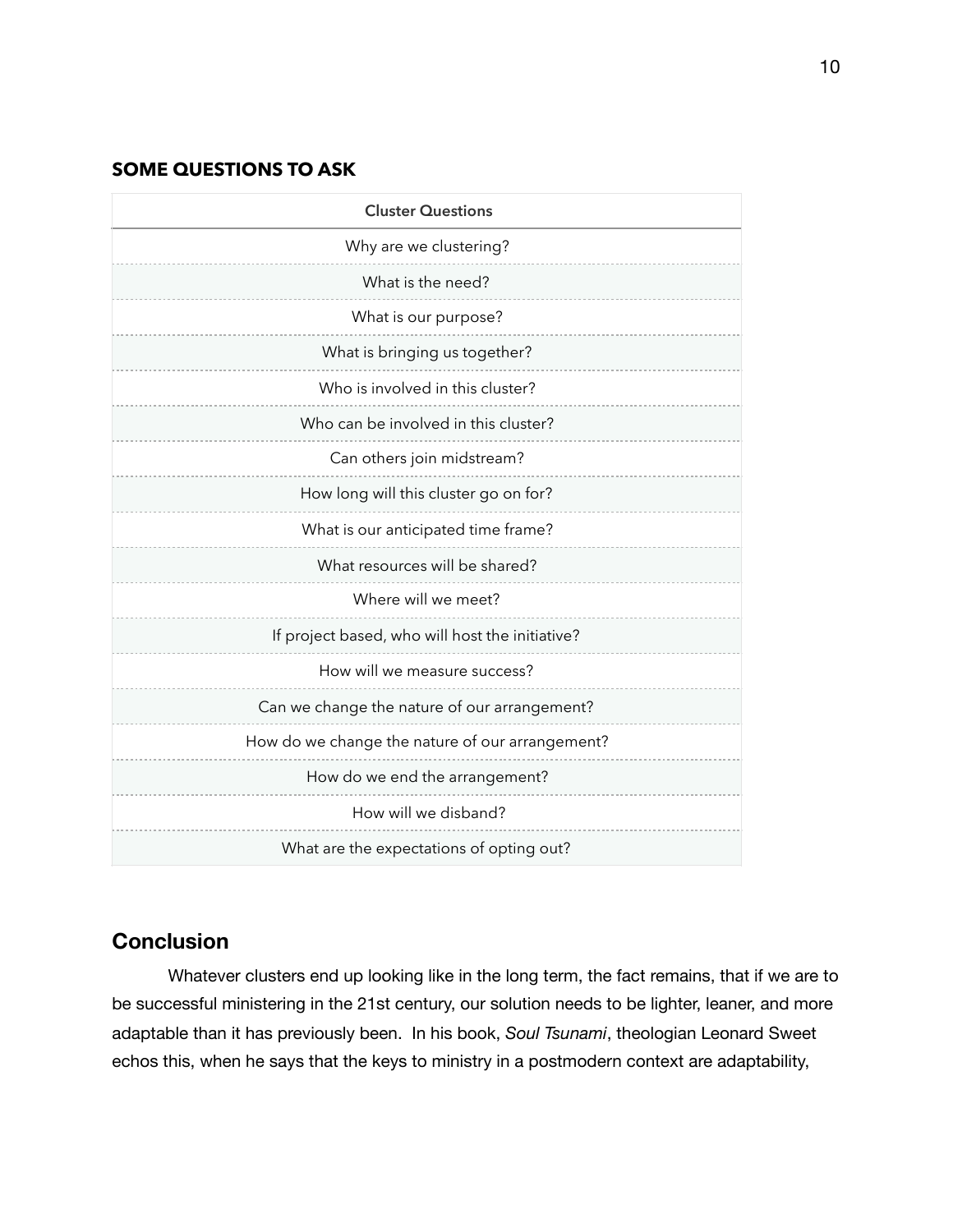#### **SOME QUESTIONS TO ASK**

| <b>Cluster Questions</b>                        |
|-------------------------------------------------|
| Why are we clustering?                          |
| What is the need?                               |
| What is our purpose?                            |
| What is bringing us together?                   |
| Who is involved in this cluster?                |
| Who can be involved in this cluster?            |
| Can others join midstream?                      |
| How long will this cluster go on for?           |
| What is our anticipated time frame?             |
| What resources will be shared?                  |
| Where will we meet?                             |
| If project based, who will host the initiative? |
| How will we measure success?                    |
| Can we change the nature of our arrangement?    |
| How do we change the nature of our arrangement? |
| How do we end the arrangement?                  |
| How will we disband?                            |
| What are the expectations of opting out?        |

# **Conclusion**

Whatever clusters end up looking like in the long term, the fact remains, that if we are to be successful ministering in the 21st century, our solution needs to be lighter, leaner, and more adaptable than it has previously been. In his book, *Soul Tsunami*, theologian Leonard Sweet echos this, when he says that the keys to ministry in a postmodern context are adaptability,